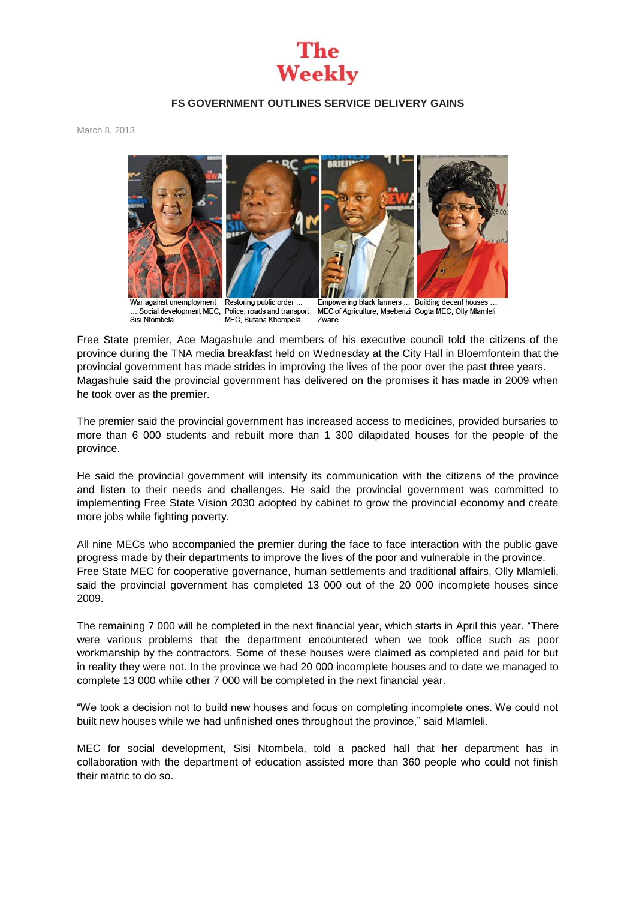## **The Weekly**

## **FS GOVERNMENT OUTLINES SERVICE DELIVERY GAINS**

March 8, 2013



Sisi Ntombela

Social development MEC, Police, roads and transport MEC, Butana Khompela

MEC of Agriculture, Msebenzi Cogta MEC, Olly Mlamleli Zwane

Free State premier, Ace Magashule and members of his executive council told the citizens of the province during the TNA media breakfast held on Wednesday at the City Hall in Bloemfontein that the provincial government has made strides in improving the lives of the poor over the past three years. Magashule said the provincial government has delivered on the promises it has made in 2009 when he took over as the premier.

The premier said the provincial government has increased access to medicines, provided bursaries to more than 6 000 students and rebuilt more than 1 300 dilapidated houses for the people of the province.

He said the provincial government will intensify its communication with the citizens of the province and listen to their needs and challenges. He said the provincial government was committed to implementing Free State Vision 2030 adopted by cabinet to grow the provincial economy and create more jobs while fighting poverty.

All nine MECs who accompanied the premier during the face to face interaction with the public gave progress made by their departments to improve the lives of the poor and vulnerable in the province. Free State MEC for cooperative governance, human settlements and traditional affairs, Olly Mlamleli, said the provincial government has completed 13 000 out of the 20 000 incomplete houses since 2009.

The remaining 7 000 will be completed in the next financial year, which starts in April this year. "There were various problems that the department encountered when we took office such as poor workmanship by the contractors. Some of these houses were claimed as completed and paid for but in reality they were not. In the province we had 20 000 incomplete houses and to date we managed to complete 13 000 while other 7 000 will be completed in the next financial year.

"We took a decision not to build new houses and focus on completing incomplete ones. We could not built new houses while we had unfinished ones throughout the province," said Mlamleli.

MEC for social development, Sisi Ntombela, told a packed hall that her department has in collaboration with the department of education assisted more than 360 people who could not finish their matric to do so.